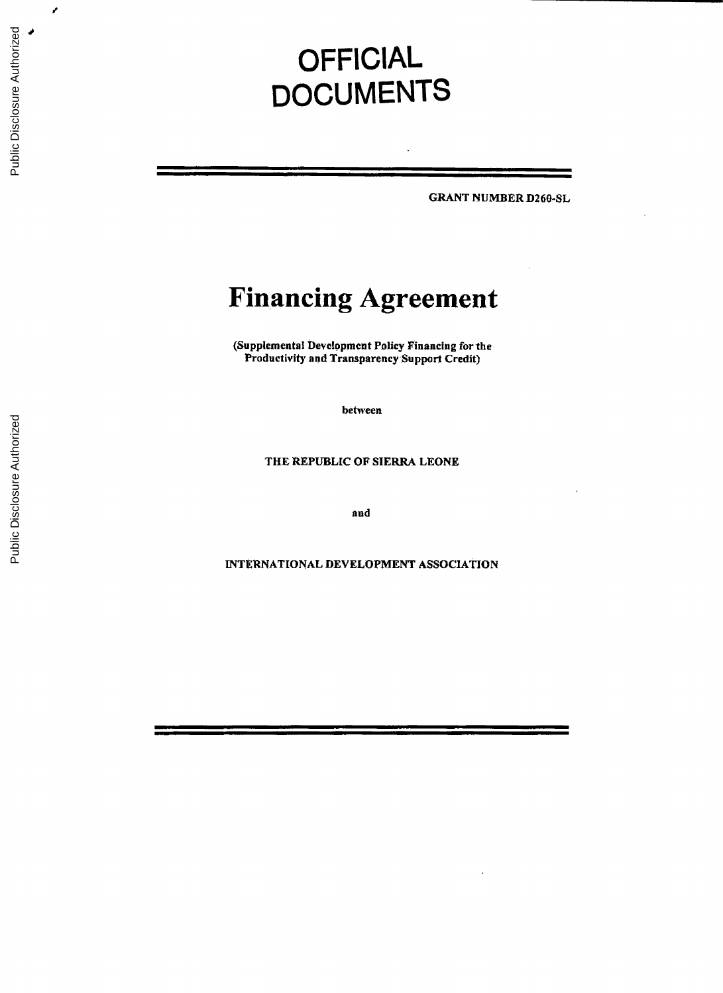# **OFFICIAL DOCUMENTS**

GRANT **NUMBER D260-SL**

## **Financing Agreement**

(Supplemental Development Policy Financing for the Productivity and Transparency Support Credit)

between

**THE** REPUBLIC OF SIERRA **LEONE**

and

INTERNATIONAL **DEVELOPMENT ASSOCIATION**

لي.

Ź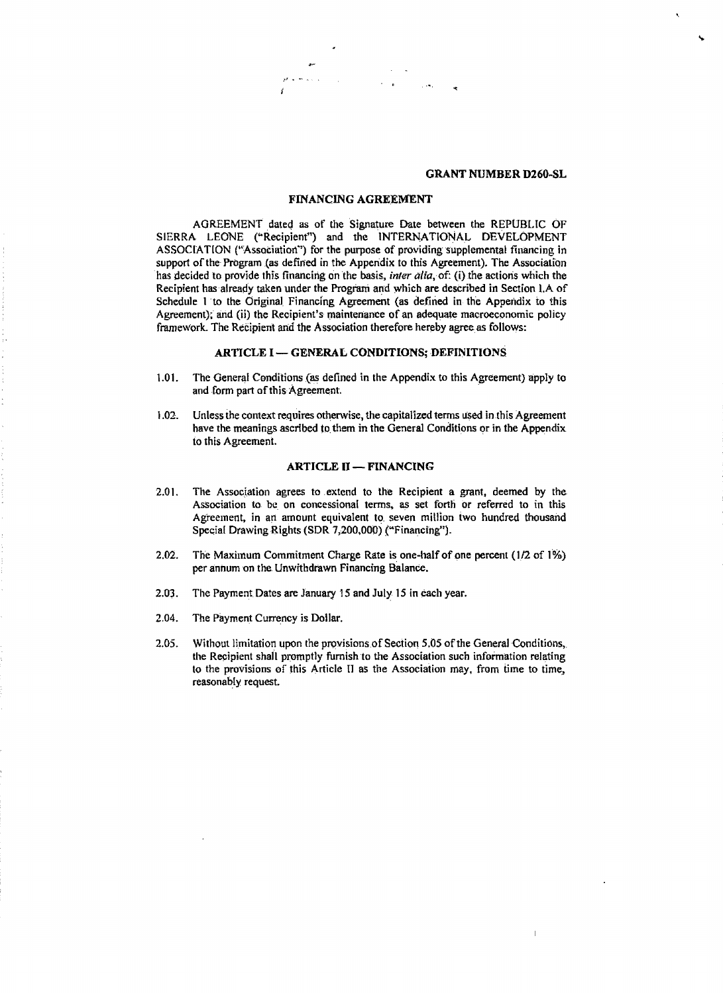#### **FINANCING AGREEMENT**

**AGREEMENT** dated as of the Signature Date between *the* **REPUBLIC** OF SIERRA **LEONE** ("Recipient") and the **INTERNATIONAL DEVELOPMENT ASSOCIATION** ("Association") for the purpose **of** providing supplemental financing in support of the Program (as defined in the Appendix to this Agreement). The Association has decided to provide this financing on the basis, *inter alia*, of: (i) the actions which the Recipient has already taken under the Program and which are described in Section **L.A** of Schedule **<sup>I</sup>**to the Original Financing Agreement (as defined in the Appendix to this Agreement); and (ii) the Recipient's maintenance of an adequate macroeconomic policy framework The Recipient and the Association therefore hereby agree as follows:

#### ARTICLE **I- GENERAL CONDITIONS;** DEFINITIONS

- **1.01.** The General Conditions (as defined in the Appendix to this Agreement) apply to and form part of this Agreement.
- 1.02. Unless the context requires otherwise, the capitalized terms **used** in this Agreement have the meanings ascribed to them in the General Conditions or in the Appendix to this Agreement.

#### **ARTICLE II - FINANCING**

- 2.01, The Association agrees to extend to the Recipient a grant, deemed **by** the Association to **be** on concessional terms, as set forth or referred to in this Agreement, in an amount equivalent to seven million two hundred thousand Special Drawing Rights (SDR **7,200,000)** ("Financing").
- 2.02. The Maximum Commitment Charge Rate is one-half of one percent (1/2 of 1%) per annum on the Unwithdrawn Financing Balance.
- 2.03, The Payment Dates are January 15 and July **15** in each year.
- 2.04. The Payment Currency is Dollar.
- **2.05.** Without limitation upon the provisions of Section **5.05** of the General Conditions,. the Recipient shall promptly furnish to the Association such information relating to the provisions of this Article **11** as the Association may, from time to time\_ reasonably request.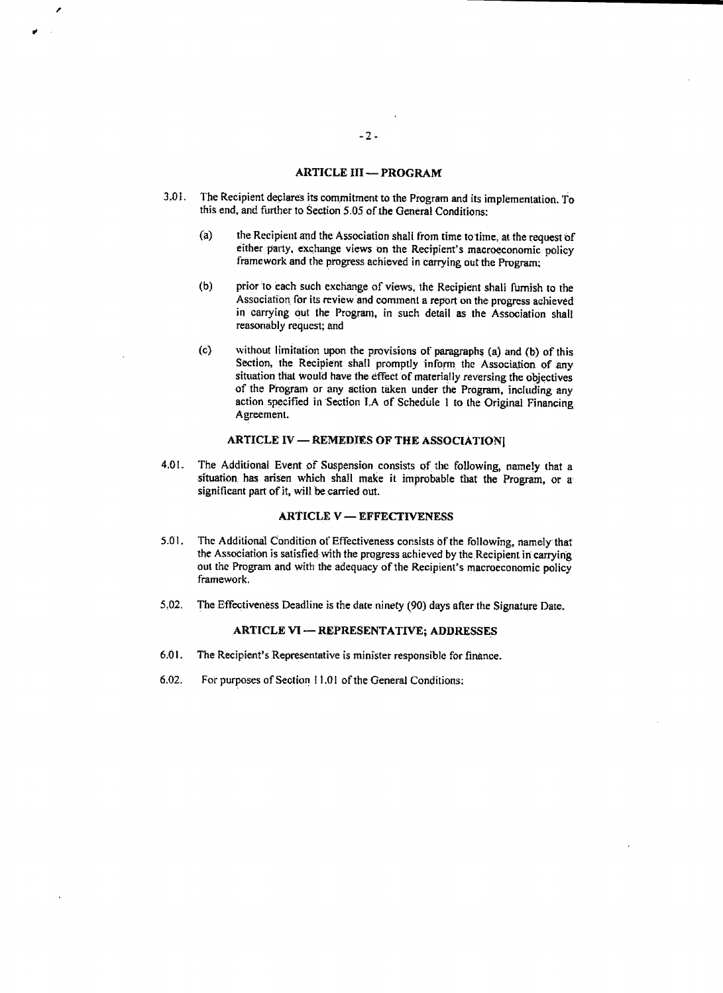#### **ARTICLE III - PROGRAM**

- **3.01.** The Recipient declares its commitment to the Program and its implementation. To this end, and further to Section *5.05* of the General Conditions:
	- **(a)** the Recipient and the Association shall from time totime, at the request **of** either party, exchange views on the Recipient's macroeconomic policy framework and the progress achieved in carrying out the Program:
	- **(b)** prior to each such exchange of views, the Recipient shall furnish to the Association for its review and comment a report on the progress achieved in carrying out the Program, in such detail as the Association shall reasonably request; and
	- (c) without limitation upon the provisions of paragraphs (a) and **(b)** of this Section, the Recipient shall promptly inform the Association of any situation that would have the effect of materially reversing the objectives of the Program or any action taken under the Program, including any action specified in Section **LA of** Schedule 1 to the Original Financing Agreement.

#### ARTICLE IV **-** REMEDIES OF THE **ASSOCIATION1**

4.01. The Additional Event of Suspension consists **of** the following, namely that a situation. has arisen which shall make it improbable that the Program, or a significant part of it, will be carried out.

#### ARTICLE V **- EFFECTIVENESS**

- **5.01.** The Additional Condition of Effectiveness consists **of** the following, namely that the Association is satisfied with the progress achieved **by** the Recipient in carrying out the Program and with the adequacy of the Recipient's macroeconomic policy framework.
- *5.02.* The Effectiveness Deadline is the date ninety **(90)** days after the Signature Date.

#### ARTICLE VI **-** REPRESENTATIVE; **ADDRESSES**

- **6.01.** The Recipient's Representative is minister responsible for finance.
- **6.02.** For purposes of Section **11.01** of the General Conditions: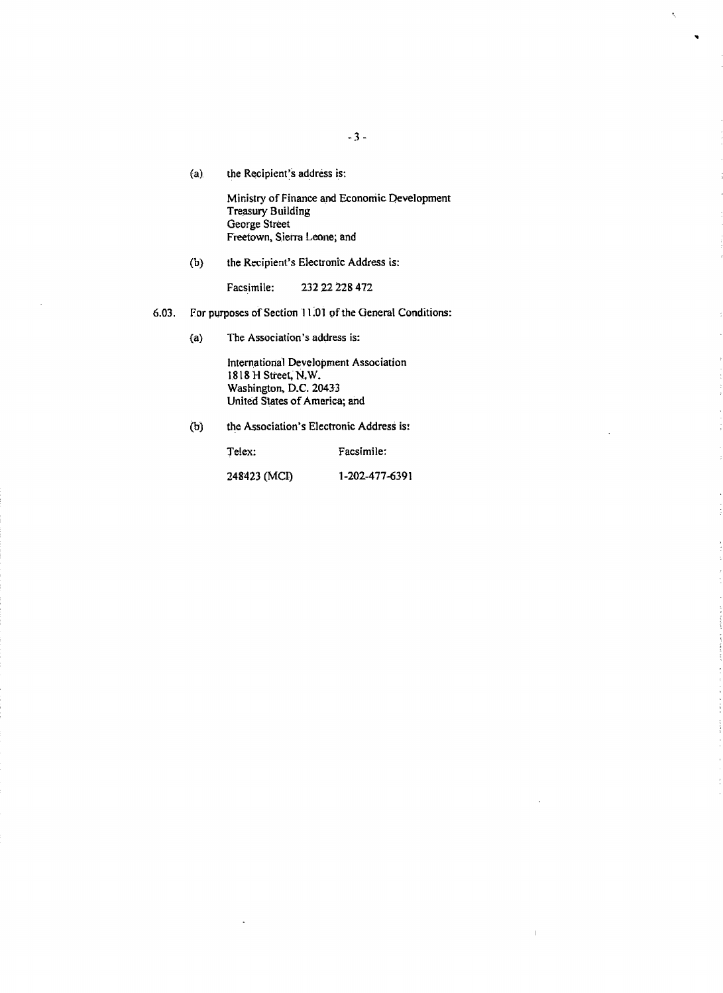(a) the Recipient's address is:

Ministry of Finance and Economic Development Treasury Building George Street Freetown, Sierra Leone; and

**(b)** the Recipient's Electronic Address is:

Facsimile: **232** 22 **228** 472

- **6.03,** For purposes of Section I1.01 **of** the General Conditions:
	- (a) The Association's address is:

International Development Association 1818 **1H** Street, N,W. Washington, **D.C.** 20433 United States of America; and

**(b)** the Association's Electronic Address is:

Telex: Facsimile:

248423 (MCI) **1-202-477-6391**

 $\overline{1}$ 

**-3-**

Ķ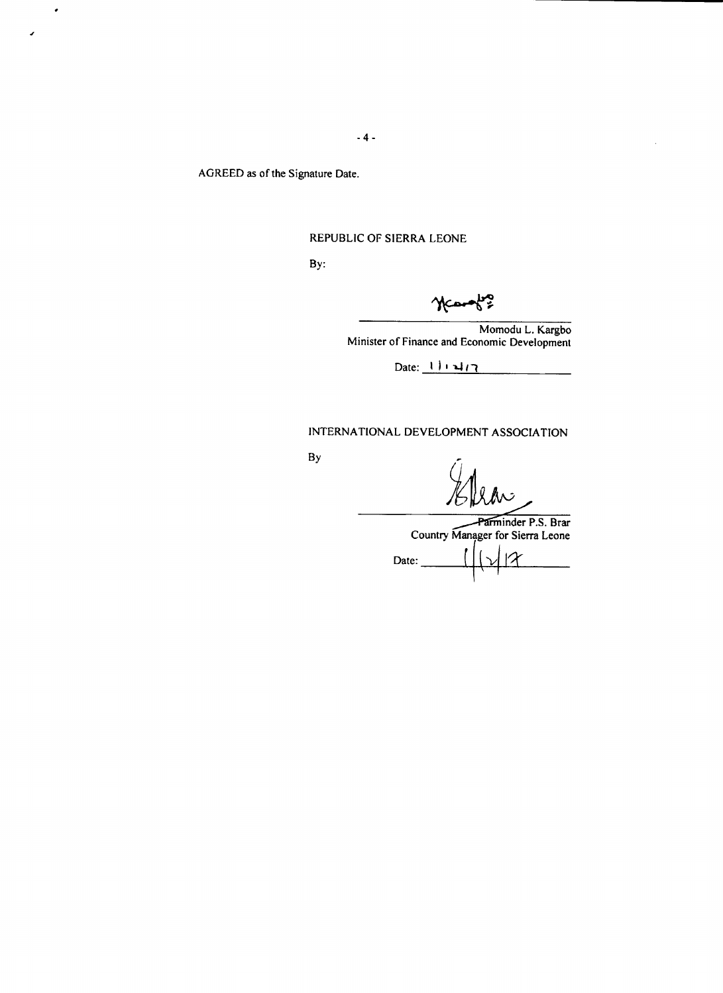AGREED as of the Signature Date.

 $\hat{\boldsymbol{\theta}}$ 

 $\hat{\mathbf{z}}$ 

### REPUBLIC OF SIERRA **LEONE**

**By:**

Kamps

Momodu L. Kargbo Minister of Finance and Economic Development

 $Date: 111117$ 

## **INTERNATIONAL DEVELOPMENT ASSOCIATION**

**By**

Parminder P.S. Brar Country Manager for Sierra Leone

Date:  $\overline{\phantom{a}}$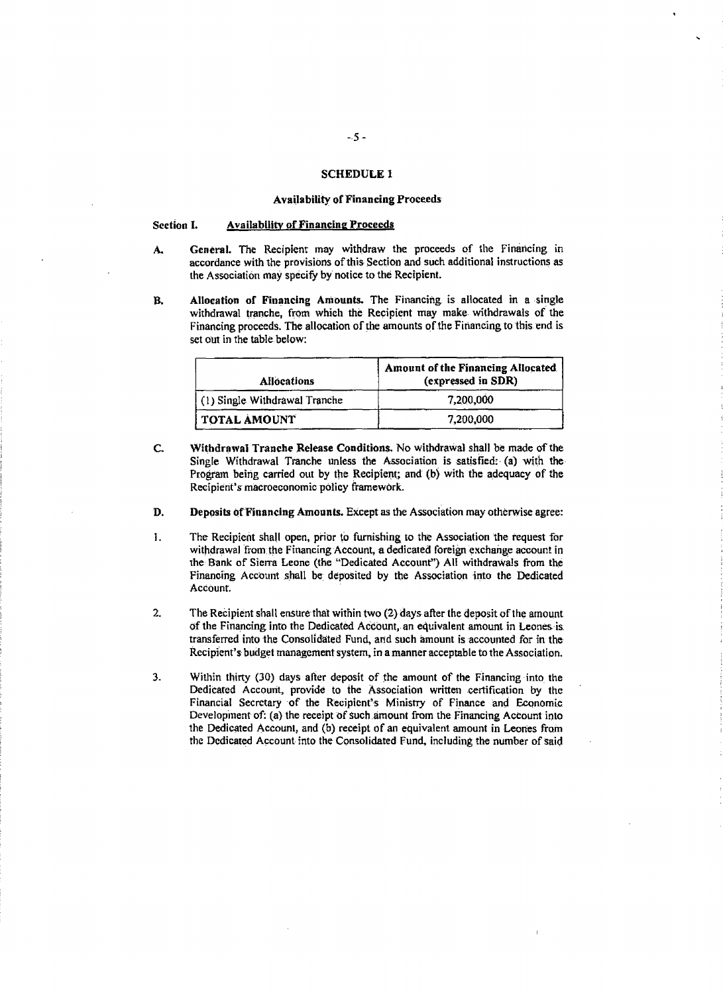#### **SCHEDULE** 1

#### Availability of Financing Proceeds

#### Section I. **Availability of Financing Proceeds**

- **A.** General. The Recipient may withdraw the proceeds of the Financing in accordance with the provisions of this Section and such additional instructions as the Association may specify **by** notice to the Recipient.
- B. Allocation of Financing Amounts. The Financing is allocated in a single withdrawal tranche, from which the Recipient may make. withdrawals of the Financing proceeds. The allocation of the amounts **of** the Financing to this end is set out in the table below:

| <b>Allocations</b>            | Amount of the Financing Allocated<br>(expressed in SDR) |
|-------------------------------|---------------------------------------------------------|
| (1) Single Withdrawal Tranche | 7,200,000                                               |
| TOTAL AMOUNT                  | 7.200,000                                               |

- **C.** Withdrawal Tranche Release Conditions. No withdrawal shall be made of the Single Withdrawal Tranche unless the Association is satisfied: (a) with the Program being carried out **by** the Recipient; and **(b)** with the adequacy of the Recipient's macroeconomic **policy** framework.
- **D. Deposits of Financing Amounts. Except as the Association may otherwise agree:**
- 1. The Recipient shall open, prior **to** furnishing to the Association the request for withdrawal from the Financing Account, a dedicated foreign exchange account in the Bank of Sierra Leone (the "Dedicated Account") **All** withdrawals from the Financing Account shall **be** deposited **by** the Association into the Dedicated Account.
- 2. The Recipient shall ensure that within two (2) days after the deposit of the amount of the Financing into the Dedicated Account, an equivalent amount in Leones is. transferred into the Consolidated Fund, and such amount is accounted *for* in the Recipient's budget management system, in a manner acceptable to the Association.
- **3.** Within thirty **(30)** days after deposit of the amount **of** the Financing into the Dedicated Account, provide to the Association written certification **by** the Financial Secretary of the Recipient's Ministry of Finance and Economic Development of: (a) the receipt **of** such amount from the Financing Account into the Dedicated Account, and **(b)** receipt of an equivalent amount in Leones from the Dedicated Account into the Consolidated Fund, including the number of said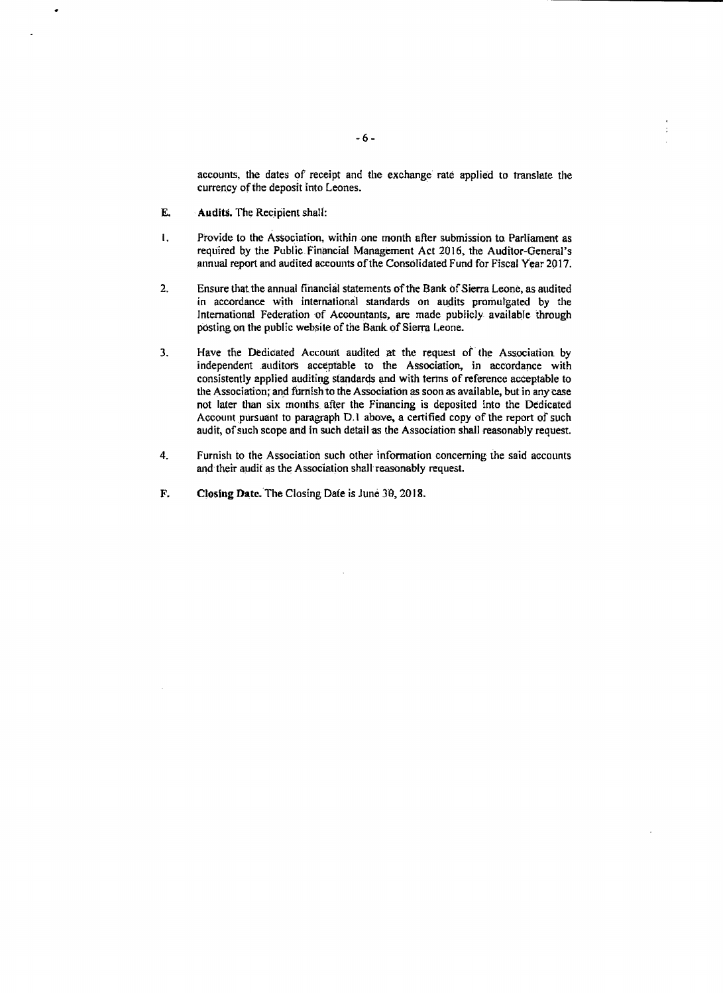accounts, the dates of receipt and the exchange rate applied to translate the currency of the deposit into Leones.

- **E.** Audits. The Recipient shall:
- **I.** Provide to the Association, within one month after submission to Parliament as required **by** the Public Financial Management Act **2016,** the Auditor-General's annual report and audited accounts of the Consolidated Fund for Fiscal Year **2017.**
- 2. Ensure thatthe annual financial statements of the Bank **of** Sierra Leone, as audited in accordance with international standards on audits promulgated **by** the International Federation of Accountants, are made publicly available through posting on the public website of the Bank **of** Sierra Leone.
- **3.** Have the Dedicated Account audited at the request of the Association **by** independent auditors acceptable to the Association, in accordance with consistently applied auditing standards and with terms of reference acceptable to the Association; and furnishto the Association as soon as available, but in any case not later than six months after the Financing is deposited into the Dedicated Account pursuant to paragraph **D.1** above, a certified copy of the report of such audit, of such scope and in such detail as the Association shall reasonably request.
- 4. Furnish to the Association such other information concerning the said accounts and their audit as the Association shall reasonably request.
- F. Closing Date. The Closing Date is June **30, 2018.**